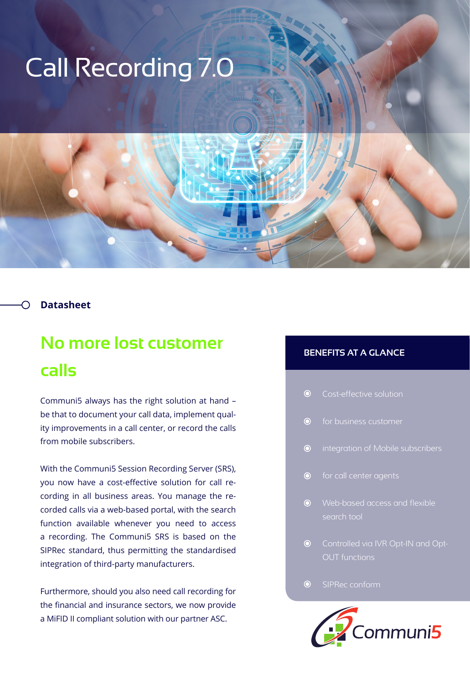# Call Recording 7.0

## **Datasheet**

## **No more lost customer calls**

Communi5 always has the right solution at hand – be that to document your call data, implement quality improvements in a call center, or record the calls from mobile subscribers.

With the Communi5 Session Recording Server (SRS), you now have a cost-effective solution for call recording in all business areas. You manage the recorded calls via a web-based portal, with the search function available whenever you need to access a recording. The Communi5 SRS is based on the SIPRec standard, thus permitting the standardised integration of third-party manufacturers.

Furthermore, should you also need call recording for the financial and insurance sectors, we now provide a MiFID II compliant solution with our partner ASC.

## **BENEFITS AT A GLANCE**

| $\bullet$ | Cost-effective solution |  |
|-----------|-------------------------|--|
|           |                         |  |

 $\odot$ 

- $\odot$ integration of Mobile subscribers
- $\odot$ for call center agents
- Web-based access and flexible search tool
- **O** Controlled via IVR Opt-IN and Opt-OUT functions

#### $\odot$ SIPRec conform